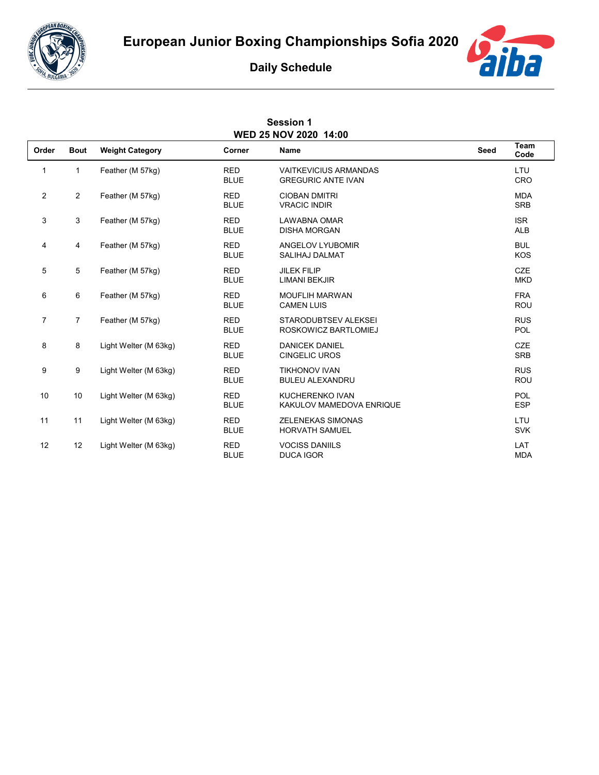



## **Daily Schedule**

| <b>Session 1</b><br>WED 25 NOV 2020 14:00 |                |                        |                           |                                                           |      |                          |  |  |  |  |
|-------------------------------------------|----------------|------------------------|---------------------------|-----------------------------------------------------------|------|--------------------------|--|--|--|--|
| Order                                     | <b>Bout</b>    | <b>Weight Category</b> | Corner                    | Name                                                      | Seed | Team<br>Code             |  |  |  |  |
| 1                                         | $\mathbf{1}$   | Feather (M 57kg)       | <b>RED</b><br><b>BLUE</b> | <b>VAITKEVICIUS ARMANDAS</b><br><b>GREGURIC ANTE IVAN</b> |      | LTU<br>CRO               |  |  |  |  |
| $\overline{c}$                            | $\overline{2}$ | Feather (M 57kg)       | <b>RED</b><br><b>BLUE</b> | <b>CIOBAN DMITRI</b><br><b>VRACIC INDIR</b>               |      | <b>MDA</b><br><b>SRB</b> |  |  |  |  |
| 3                                         | 3              | Feather (M 57kg)       | <b>RED</b><br><b>BLUE</b> | <b>LAWABNA OMAR</b><br><b>DISHA MORGAN</b>                |      | <b>ISR</b><br><b>ALB</b> |  |  |  |  |
| 4                                         | 4              | Feather (M 57kg)       | <b>RED</b><br><b>BLUE</b> | ANGELOV LYUBOMIR<br><b>SALIHAJ DALMAT</b>                 |      | <b>BUL</b><br><b>KOS</b> |  |  |  |  |
| 5                                         | 5              | Feather (M 57kg)       | <b>RED</b><br><b>BLUE</b> | <b>JILEK FILIP</b><br>LIMANI BEKJIR                       |      | <b>CZE</b><br><b>MKD</b> |  |  |  |  |
| 6                                         | 6              | Feather (M 57kg)       | <b>RED</b><br><b>BLUE</b> | <b>MOUFLIH MARWAN</b><br><b>CAMEN LUIS</b>                |      | <b>FRA</b><br><b>ROU</b> |  |  |  |  |
| 7                                         | $\overline{7}$ | Feather (M 57kg)       | <b>RED</b><br><b>BLUE</b> | STARODUBTSEV ALEKSEI<br>ROSKOWICZ BARTLOMIEJ              |      | <b>RUS</b><br>POL        |  |  |  |  |
| 8                                         | 8              | Light Welter (M 63kg)  | <b>RED</b><br><b>BLUE</b> | <b>DANICEK DANIEL</b><br><b>CINGELIC UROS</b>             |      | <b>CZE</b><br><b>SRB</b> |  |  |  |  |
| 9                                         | 9              | Light Welter (M 63kg)  | <b>RED</b><br><b>BLUE</b> | <b>TIKHONOV IVAN</b><br><b>BULEU ALEXANDRU</b>            |      | <b>RUS</b><br><b>ROU</b> |  |  |  |  |
| 10                                        | 10             | Light Welter (M 63kg)  | <b>RED</b><br><b>BLUE</b> | <b>KUCHERENKO IVAN</b><br>KAKULOV MAMEDOVA ENRIQUE        |      | <b>POL</b><br><b>ESP</b> |  |  |  |  |
| 11                                        | 11             | Light Welter (M 63kg)  | <b>RED</b><br><b>BLUE</b> | <b>ZELENEKAS SIMONAS</b><br><b>HORVATH SAMUEL</b>         |      | LTU<br><b>SVK</b>        |  |  |  |  |
| 12                                        | 12             | Light Welter (M 63kg)  | <b>RED</b><br><b>BLUE</b> | <b>VOCISS DANIILS</b><br><b>DUCA IGOR</b>                 |      | LAT<br><b>MDA</b>        |  |  |  |  |